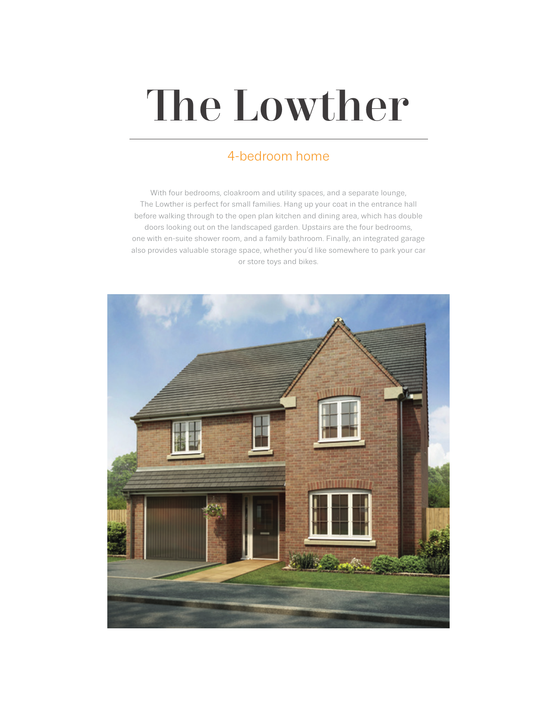# The Lowther

## 4-bedroom home

With four bedrooms, cloakroom and utility spaces, and a separate lounge, The Lowther is perfect for small families. Hang up your coat in the entrance hall before walking through to the open plan kitchen and dining area, which has double doors looking out on the landscaped garden. Upstairs are the four bedrooms, one with en-suite shower room, and a family bathroom. Finally, an integrated garage also provides valuable storage space, whether you'd like somewhere to park your car or store toys and bikes.